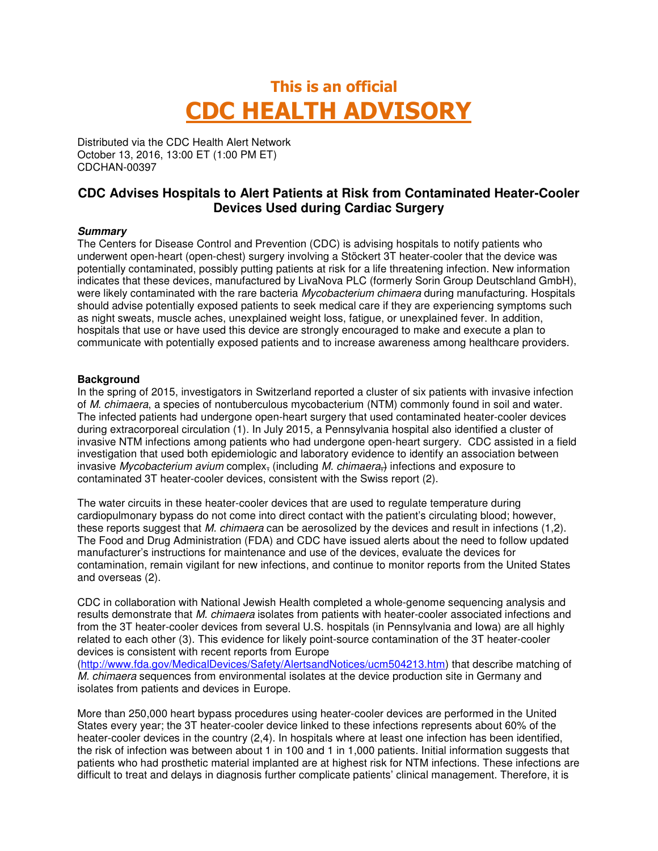# This is an official CDC HEALTH ADVISORY

Distributed via the CDC Health Alert Network October 13, 2016, 13:00 ET (1:00 PM ET) CDCHAN-00397

### **CDC Advises Hospitals to Alert Patients at Risk from Contaminated Heater-Cooler Devices Used during Cardiac Surgery**

#### **Summary**

The Centers for Disease Control and Prevention (CDC) is advising hospitals to notify patients who underwent open-heart (open-chest) surgery involving a Stöckert 3T heater-cooler that the device was potentially contaminated, possibly putting patients at risk for a life threatening infection. New information indicates that these devices, manufactured by LivaNova PLC (formerly Sorin Group Deutschland GmbH), were likely contaminated with the rare bacteria Mycobacterium chimaera during manufacturing. Hospitals should advise potentially exposed patients to seek medical care if they are experiencing symptoms such as night sweats, muscle aches, unexplained weight loss, fatigue, or unexplained fever. In addition, hospitals that use or have used this device are strongly encouraged to make and execute a plan to communicate with potentially exposed patients and to increase awareness among healthcare providers.

#### **Background**

In the spring of 2015, investigators in Switzerland reported a cluster of six patients with invasive infection of M. chimaera, a species of nontuberculous mycobacterium (NTM) commonly found in soil and water. The infected patients had undergone open-heart surgery that used contaminated heater-cooler devices during extracorporeal circulation (1). In July 2015, a Pennsylvania hospital also identified a cluster of invasive NTM infections among patients who had undergone open-heart surgery. CDC assisted in a field investigation that used both epidemiologic and laboratory evidence to identify an association between invasive Mycobacterium avium complex, (including M. chimaera,) infections and exposure to contaminated 3T heater-cooler devices, consistent with the Swiss report (2).

The water circuits in these heater-cooler devices that are used to regulate temperature during cardiopulmonary bypass do not come into direct contact with the patient's circulating blood; however, these reports suggest that M. chimaera can be aerosolized by the devices and result in infections (1.2). The Food and Drug Administration (FDA) and CDC have issued alerts about the need to follow updated manufacturer's instructions for maintenance and use of the devices, evaluate the devices for contamination, remain vigilant for new infections, and continue to monitor reports from the United States and overseas (2).

CDC in collaboration with National Jewish Health completed a whole-genome sequencing analysis and results demonstrate that M. chimaera isolates from patients with heater-cooler associated infections and from the 3T heater-cooler devices from several U.S. hospitals (in Pennsylvania and Iowa) are all highly related to each other (3). This evidence for likely point-source contamination of the 3T heater-cooler devices is consistent with recent reports from Europe

(http://www.fda.gov/MedicalDevices/Safety/AlertsandNotices/ucm504213.htm) that describe matching of M. chimaera sequences from environmental isolates at the device production site in Germany and isolates from patients and devices in Europe.

More than 250,000 heart bypass procedures using heater-cooler devices are performed in the United States every year; the 3T heater-cooler device linked to these infections represents about 60% of the heater-cooler devices in the country (2,4). In hospitals where at least one infection has been identified, the risk of infection was between about 1 in 100 and 1 in 1,000 patients. Initial information suggests that patients who had prosthetic material implanted are at highest risk for NTM infections. These infections are difficult to treat and delays in diagnosis further complicate patients' clinical management. Therefore, it is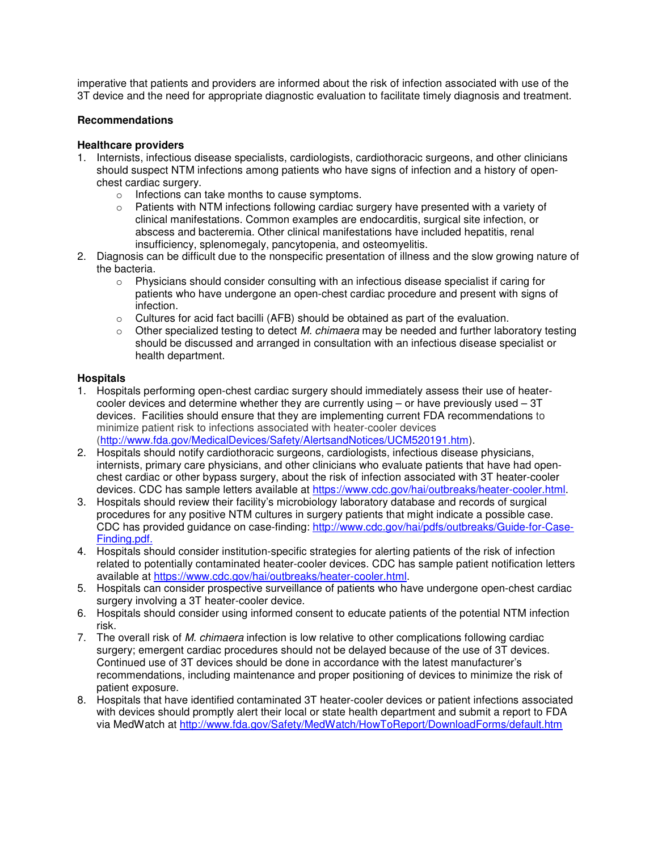imperative that patients and providers are informed about the risk of infection associated with use of the 3T device and the need for appropriate diagnostic evaluation to facilitate timely diagnosis and treatment.

#### **Recommendations**

#### **Healthcare providers**

- 1. Internists, infectious disease specialists, cardiologists, cardiothoracic surgeons, and other clinicians should suspect NTM infections among patients who have signs of infection and a history of openchest cardiac surgery.
	- o Infections can take months to cause symptoms.
	- $\circ$  Patients with NTM infections following cardiac surgery have presented with a variety of clinical manifestations. Common examples are endocarditis, surgical site infection, or abscess and bacteremia. Other clinical manifestations have included hepatitis, renal insufficiency, splenomegaly, pancytopenia, and osteomyelitis.
- 2. Diagnosis can be difficult due to the nonspecific presentation of illness and the slow growing nature of the bacteria.
	- $\circ$  Physicians should consider consulting with an infectious disease specialist if caring for patients who have undergone an open-chest cardiac procedure and present with signs of infection.
	- o Cultures for acid fact bacilli (AFB) should be obtained as part of the evaluation.
	- $\circ$  Other specialized testing to detect M. chimaera may be needed and further laboratory testing should be discussed and arranged in consultation with an infectious disease specialist or health department.

#### **Hospitals**

- 1. Hospitals performing open-chest cardiac surgery should immediately assess their use of heatercooler devices and determine whether they are currently using  $-$  or have previously used  $-3T$ devices. Facilities should ensure that they are implementing current FDA recommendations to minimize patient risk to infections associated with heater-cooler devices (http://www.fda.gov/MedicalDevices/Safety/AlertsandNotices/UCM520191.htm).
- 2. Hospitals should notify cardiothoracic surgeons, cardiologists, infectious disease physicians, internists, primary care physicians, and other clinicians who evaluate patients that have had openchest cardiac or other bypass surgery, about the risk of infection associated with 3T heater-cooler devices. CDC has sample letters available at https://www.cdc.gov/hai/outbreaks/heater-cooler.html.
- 3. Hospitals should review their facility's microbiology laboratory database and records of surgical procedures for any positive NTM cultures in surgery patients that might indicate a possible case. CDC has provided guidance on case-finding: http://www.cdc.gov/hai/pdfs/outbreaks/Guide-for-Case-Finding.pdf.
- 4. Hospitals should consider institution-specific strategies for alerting patients of the risk of infection related to potentially contaminated heater-cooler devices. CDC has sample patient notification letters available at https://www.cdc.gov/hai/outbreaks/heater-cooler.html.
- 5. Hospitals can consider prospective surveillance of patients who have undergone open-chest cardiac surgery involving a 3T heater-cooler device.
- 6. Hospitals should consider using informed consent to educate patients of the potential NTM infection risk.
- 7. The overall risk of M. chimaera infection is low relative to other complications following cardiac surgery; emergent cardiac procedures should not be delayed because of the use of 3T devices. Continued use of 3T devices should be done in accordance with the latest manufacturer's recommendations, including maintenance and proper positioning of devices to minimize the risk of patient exposure.
- 8. Hospitals that have identified contaminated 3T heater-cooler devices or patient infections associated with devices should promptly alert their local or state health department and submit a report to FDA via MedWatch at http://www.fda.gov/Safety/MedWatch/HowToReport/DownloadForms/default.htm